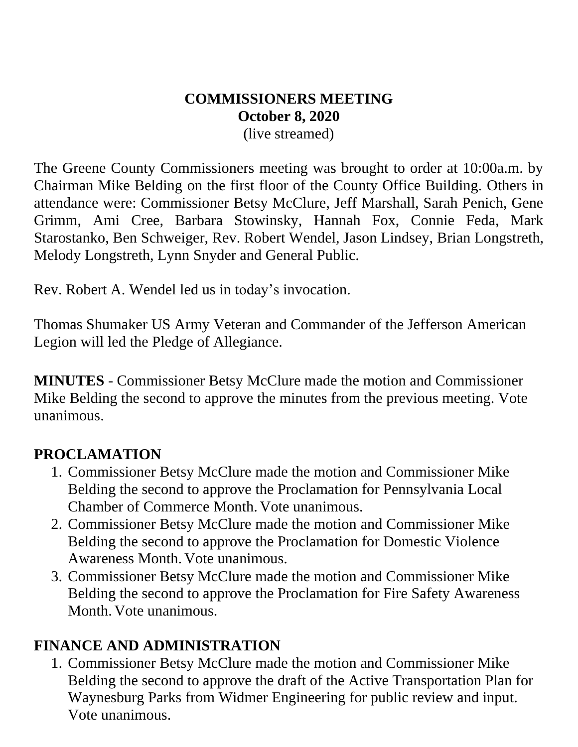# **COMMISSIONERS MEETING October 8, 2020**

(live streamed)

The Greene County Commissioners meeting was brought to order at 10:00a.m. by Chairman Mike Belding on the first floor of the County Office Building. Others in attendance were: Commissioner Betsy McClure, Jeff Marshall, Sarah Penich, Gene Grimm, Ami Cree, Barbara Stowinsky, Hannah Fox, Connie Feda, Mark Starostanko, Ben Schweiger, Rev. Robert Wendel, Jason Lindsey, Brian Longstreth, Melody Longstreth, Lynn Snyder and General Public.

Rev. Robert A. Wendel led us in today's invocation.

Thomas Shumaker US Army Veteran and Commander of the Jefferson American Legion will led the Pledge of Allegiance.

**MINUTES** - Commissioner Betsy McClure made the motion and Commissioner Mike Belding the second to approve the minutes from the previous meeting. Vote unanimous.

#### **PROCLAMATION**

- 1. Commissioner Betsy McClure made the motion and Commissioner Mike Belding the second to approve the Proclamation for Pennsylvania Local Chamber of Commerce Month. Vote unanimous.
- 2. Commissioner Betsy McClure made the motion and Commissioner Mike Belding the second to approve the Proclamation for Domestic Violence Awareness Month. Vote unanimous.
- 3. Commissioner Betsy McClure made the motion and Commissioner Mike Belding the second to approve the Proclamation for Fire Safety Awareness Month. Vote unanimous.

#### **FINANCE AND ADMINISTRATION**

1. Commissioner Betsy McClure made the motion and Commissioner Mike Belding the second to approve the draft of the Active Transportation Plan for Waynesburg Parks from Widmer Engineering for public review and input. Vote unanimous.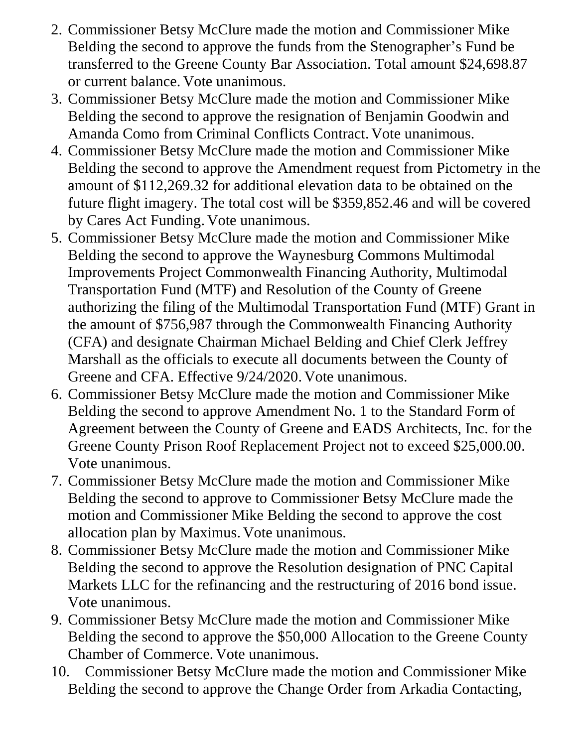- 2. Commissioner Betsy McClure made the motion and Commissioner Mike Belding the second to approve the funds from the Stenographer's Fund be transferred to the Greene County Bar Association. Total amount \$24,698.87 or current balance. Vote unanimous.
- 3. Commissioner Betsy McClure made the motion and Commissioner Mike Belding the second to approve the resignation of Benjamin Goodwin and Amanda Como from Criminal Conflicts Contract. Vote unanimous.
- 4. Commissioner Betsy McClure made the motion and Commissioner Mike Belding the second to approve the Amendment request from Pictometry in the amount of \$112,269.32 for additional elevation data to be obtained on the future flight imagery. The total cost will be \$359,852.46 and will be covered by Cares Act Funding. Vote unanimous.
- 5. Commissioner Betsy McClure made the motion and Commissioner Mike Belding the second to approve the Waynesburg Commons Multimodal Improvements Project Commonwealth Financing Authority, Multimodal Transportation Fund (MTF) and Resolution of the County of Greene authorizing the filing of the Multimodal Transportation Fund (MTF) Grant in the amount of \$756,987 through the Commonwealth Financing Authority (CFA) and designate Chairman Michael Belding and Chief Clerk Jeffrey Marshall as the officials to execute all documents between the County of Greene and CFA. Effective 9/24/2020. Vote unanimous.
- 6. Commissioner Betsy McClure made the motion and Commissioner Mike Belding the second to approve Amendment No. 1 to the Standard Form of Agreement between the County of Greene and EADS Architects, Inc. for the Greene County Prison Roof Replacement Project not to exceed \$25,000.00. Vote unanimous.
- 7. Commissioner Betsy McClure made the motion and Commissioner Mike Belding the second to approve to Commissioner Betsy McClure made the motion and Commissioner Mike Belding the second to approve the cost allocation plan by Maximus. Vote unanimous.
- 8. Commissioner Betsy McClure made the motion and Commissioner Mike Belding the second to approve the Resolution designation of PNC Capital Markets LLC for the refinancing and the restructuring of 2016 bond issue. Vote unanimous.
- 9. Commissioner Betsy McClure made the motion and Commissioner Mike Belding the second to approve the \$50,000 Allocation to the Greene County Chamber of Commerce. Vote unanimous.
- 10. Commissioner Betsy McClure made the motion and Commissioner Mike Belding the second to approve the Change Order from Arkadia Contacting,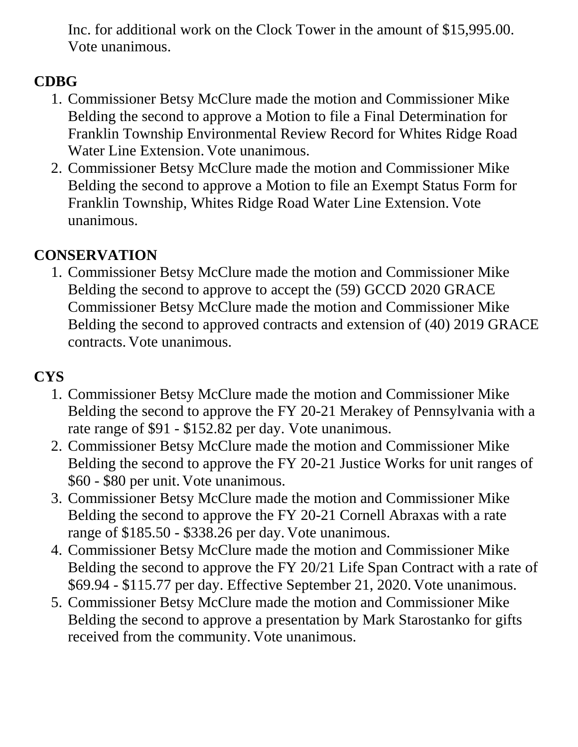Inc. for additional work on the Clock Tower in the amount of \$15,995.00. Vote unanimous.

### **CDBG**

- 1. Commissioner Betsy McClure made the motion and Commissioner Mike Belding the second to approve a Motion to file a Final Determination for Franklin Township Environmental Review Record for Whites Ridge Road Water Line Extension. Vote unanimous.
- 2. Commissioner Betsy McClure made the motion and Commissioner Mike Belding the second to approve a Motion to file an Exempt Status Form for Franklin Township, Whites Ridge Road Water Line Extension. Vote unanimous.

## **CONSERVATION**

1. Commissioner Betsy McClure made the motion and Commissioner Mike Belding the second to approve to accept the (59) GCCD 2020 GRACE Commissioner Betsy McClure made the motion and Commissioner Mike Belding the second to approved contracts and extension of (40) 2019 GRACE contracts. Vote unanimous.

## **CYS**

- 1. Commissioner Betsy McClure made the motion and Commissioner Mike Belding the second to approve the FY 20-21 Merakey of Pennsylvania with a rate range of \$91 - \$152.82 per day. Vote unanimous.
- 2. Commissioner Betsy McClure made the motion and Commissioner Mike Belding the second to approve the FY 20-21 Justice Works for unit ranges of \$60 - \$80 per unit. Vote unanimous.
- 3. Commissioner Betsy McClure made the motion and Commissioner Mike Belding the second to approve the FY 20-21 Cornell Abraxas with a rate range of \$185.50 - \$338.26 per day. Vote unanimous.
- 4. Commissioner Betsy McClure made the motion and Commissioner Mike Belding the second to approve the FY 20/21 Life Span Contract with a rate of \$69.94 - \$115.77 per day. Effective September 21, 2020. Vote unanimous.
- 5. Commissioner Betsy McClure made the motion and Commissioner Mike Belding the second to approve a presentation by Mark Starostanko for gifts received from the community. Vote unanimous.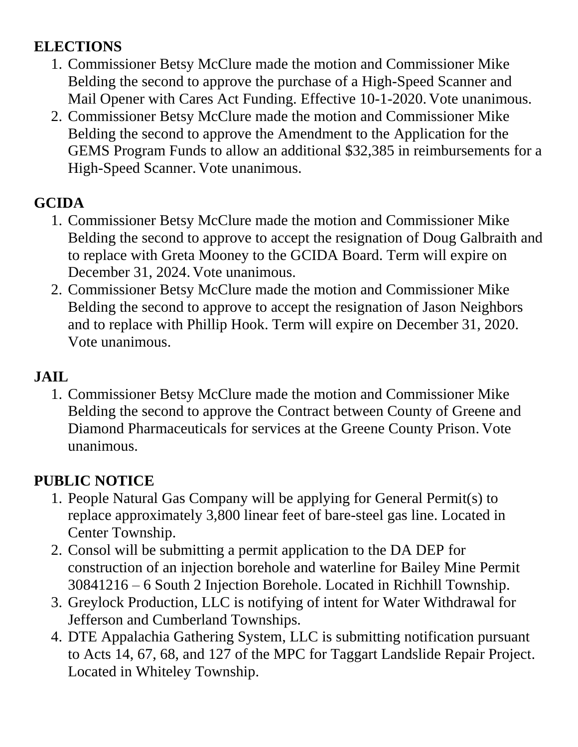## **ELECTIONS**

- 1. Commissioner Betsy McClure made the motion and Commissioner Mike Belding the second to approve the purchase of a High-Speed Scanner and Mail Opener with Cares Act Funding. Effective 10-1-2020. Vote unanimous.
- 2. Commissioner Betsy McClure made the motion and Commissioner Mike Belding the second to approve the Amendment to the Application for the GEMS Program Funds to allow an additional \$32,385 in reimbursements for a High-Speed Scanner. Vote unanimous.

## **GCIDA**

- 1. Commissioner Betsy McClure made the motion and Commissioner Mike Belding the second to approve to accept the resignation of Doug Galbraith and to replace with Greta Mooney to the GCIDA Board. Term will expire on December 31, 2024. Vote unanimous.
- 2. Commissioner Betsy McClure made the motion and Commissioner Mike Belding the second to approve to accept the resignation of Jason Neighbors and to replace with Phillip Hook. Term will expire on December 31, 2020. Vote unanimous.

#### **JAIL**

1. Commissioner Betsy McClure made the motion and Commissioner Mike Belding the second to approve the Contract between County of Greene and Diamond Pharmaceuticals for services at the Greene County Prison. Vote unanimous.

## **PUBLIC NOTICE**

- 1. People Natural Gas Company will be applying for General Permit(s) to replace approximately 3,800 linear feet of bare-steel gas line. Located in Center Township.
- 2. Consol will be submitting a permit application to the DA DEP for construction of an injection borehole and waterline for Bailey Mine Permit 30841216 – 6 South 2 Injection Borehole. Located in Richhill Township.
- 3. Greylock Production, LLC is notifying of intent for Water Withdrawal for Jefferson and Cumberland Townships.
- 4. DTE Appalachia Gathering System, LLC is submitting notification pursuant to Acts 14, 67, 68, and 127 of the MPC for Taggart Landslide Repair Project. Located in Whiteley Township.